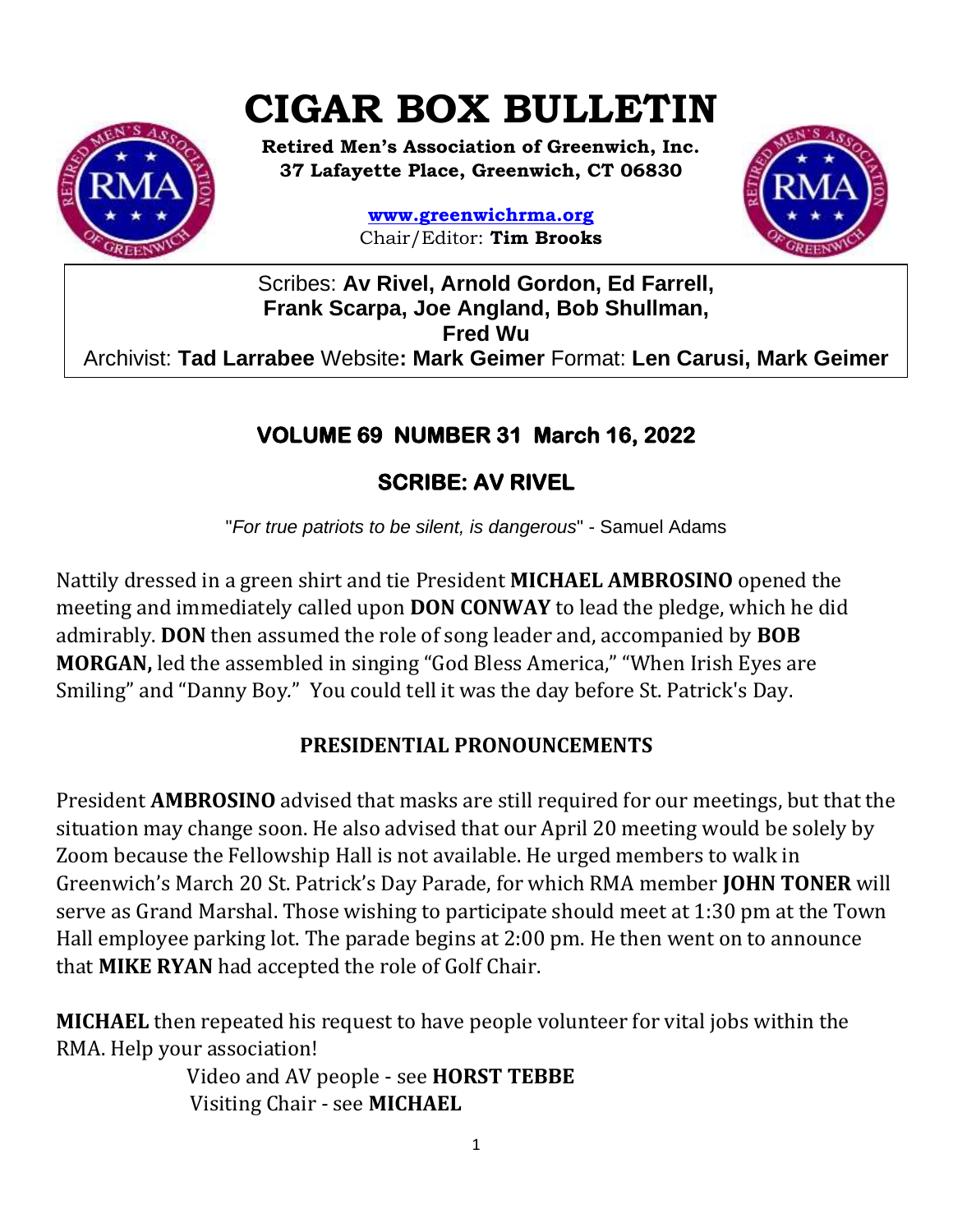# **CIGAR BOX BULLETIN**



**Retired Men's Association of Greenwich, Inc. 37 Lafayette Place, Greenwich, CT 06830**

> **www.greenwichrma.org** Chair/Editor: **Tim Brooks**



Scribes: **Av Rivel, Arnold Gordon, Ed Farrell, Frank Scarpa, Joe Angland, Bob Shullman, Fred Wu** Archivist: **Tad Larrabee** Website**: Mark Geimer** Format: **Len Carusi, Mark Geimer c**

# **VOLUME 69 NUMBER 31 March 16, 2022**

## **SCRIBE: AV RIVEL**

"*For true patriots to be silent, is dangerous*" - Samuel Adams

Nattily dressed in a green shirt and tie President **MICHAEL AMBROSINO** opened the meeting and immediately called upon **DON CONWAY** to lead the pledge, which he did admirably. **DON** then assumed the role of song leader and, accompanied by **BOB MORGAN,** led the assembled in singing "God Bless America," "When Irish Eyes are Smiling" and "Danny Boy*.*"You could tell it was the day before St. Patrick's Day.

## **PRESIDENTIAL PRONOUNCEMENTS**

President **AMBROSINO** advised that masks are still required for our meetings, but that the situation may change soon. He also advised that our April 20 meeting would be solely by Zoom because the Fellowship Hall is not available. He urged members to walk in Greenwich's March 20 St. Patrick's Day Parade, for which RMA member **JOHN TONER** will serve as Grand Marshal. Those wishing to participate should meet at 1:30 pm at the Town Hall employee parking lot. The parade begins at 2:00 pm. He then went on to announce that **MIKE RYAN** had accepted the role of Golf Chair.

**MICHAEL** then repeated his request to have people volunteer for vital jobs within the RMA. Help your association!

> Video and AV people - see **HORST TEBBE** Visiting Chair - see **MICHAEL**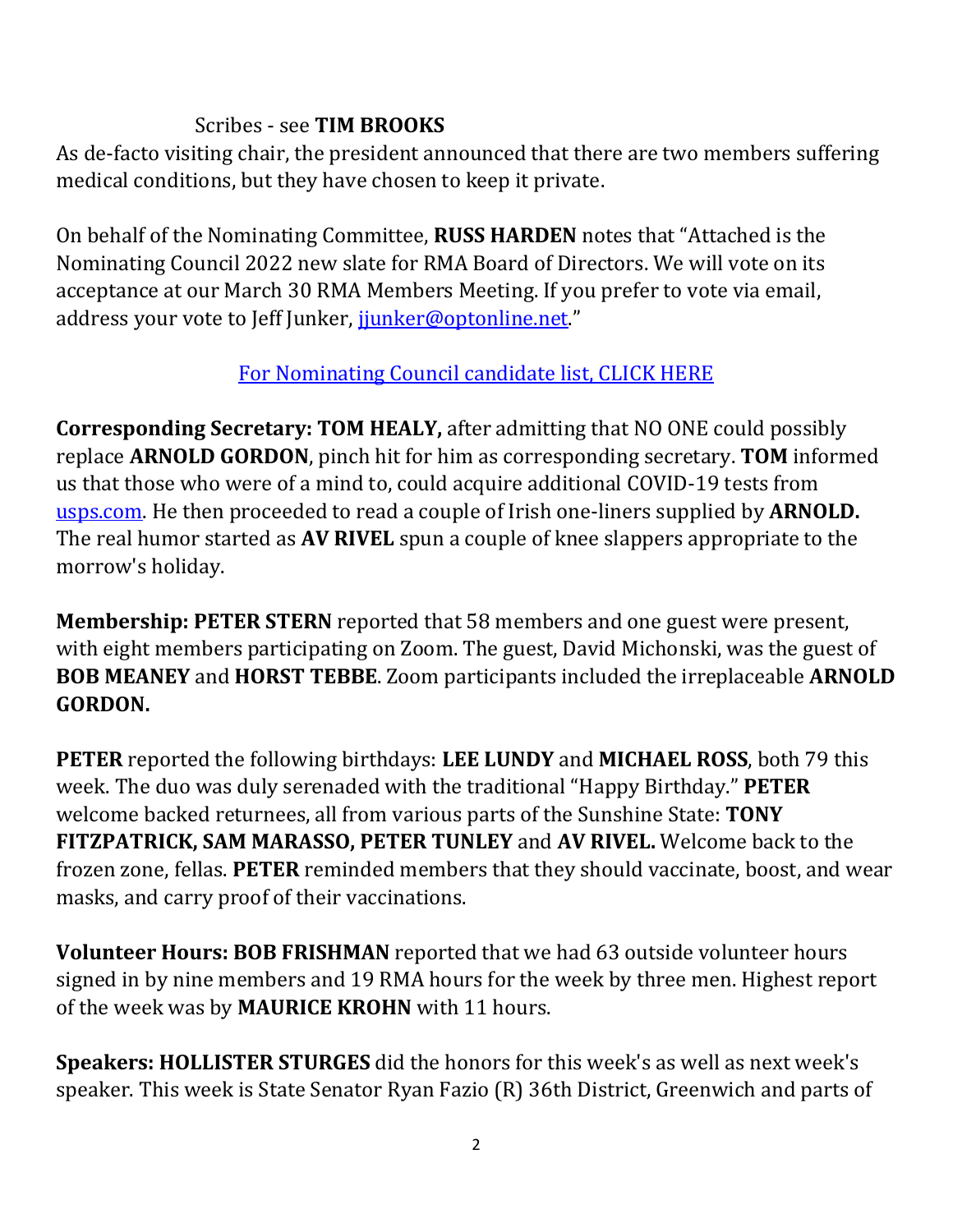#### Scribes - see **TIM BROOKS**

As de-facto visiting chair, the president announced that there are two members suffering medical conditions, but they have chosen to keep it private.

On behalf of the Nominating Committee, **RUSS HARDEN** notes that "Attached is the Nominating Council 2022 new slate for RMA Board of Directors. We will vote on its acceptance at our March 30 RMA Members Meeting. If you prefer to vote via email, address your vote to Jeff Junker, junker@optonline.net."

### [For Nominating Council candidate list, CLICK HERE](https://mcusercontent.com/053716f9c54f7992fd5ff0675/files/2f0fe47b-a0e6-cff4-16b5-6d62827f9b95/NOMINATING_COUNCIL_0501_2022.pdf)

**Corresponding Secretary: TOM HEALY,** after admitting that NO ONE could possibly replace **ARNOLD GORDON**, pinch hit for him as corresponding secretary. **TOM** informed us that those who were of a mind to, could acquire additional COVID-19 tests from [usps.com.](https://www.usps.com/) He then proceeded to read a couple of Irish one-liners supplied by **ARNOLD.** The real humor started as **AV RIVEL** spun a couple of knee slappers appropriate to the morrow's holiday.

**Membership: PETER STERN** reported that 58 members and one guest were present, with eight members participating on Zoom. The guest, David Michonski, was the guest of **BOB MEANEY** and **HORST TEBBE**. Zoom participants included the irreplaceable **ARNOLD GORDON.**

**PETER** reported the following birthdays: **LEE LUNDY** and **MICHAEL ROSS**, both 79 this week. The duo was duly serenaded with the traditional "Happy Birthday." **PETER** welcome backed returnees, all from various parts of the Sunshine State: **TONY FITZPATRICK, SAM MARASSO, PETER TUNLEY** and **AV RIVEL.** Welcome back to the frozen zone, fellas. **PETER** reminded members that they should vaccinate, boost, and wear masks, and carry proof of their vaccinations.

**Volunteer Hours: BOB FRISHMAN** reported that we had 63 outside volunteer hours signed in by nine members and 19 RMA hours for the week by three men. Highest report of the week was by **MAURICE KROHN** with 11 hours.

**Speakers: HOLLISTER STURGES** did the honors for this week's as well as next week's speaker. This week is State Senator Ryan Fazio (R) 36th District, Greenwich and parts of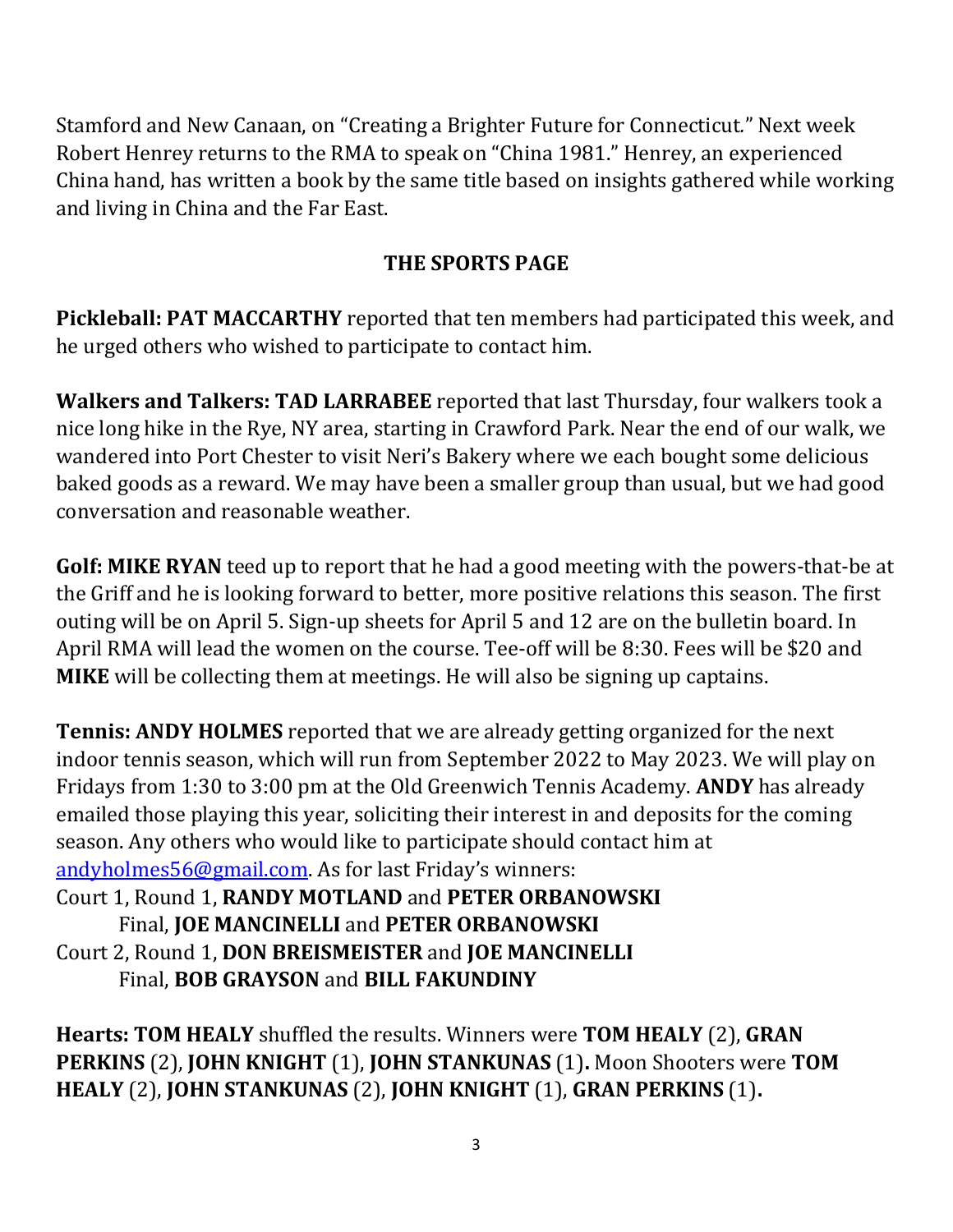Stamford and New Canaan, on "Creating a Brighter Future for Connecticut*.*" Next week Robert Henrey returns to the RMA to speak on "China 1981." Henrey, an experienced China hand, has written a book by the same title based on insights gathered while working and living in China and the Far East.

## **THE SPORTS PAGE**

**Pickleball: PAT MACCARTHY** reported that ten members had participated this week, and he urged others who wished to participate to contact him.

**Walkers and Talkers: TAD LARRABEE** reported that last Thursday, four walkers took a nice long hike in the Rye, NY area, starting in Crawford Park. Near the end of our walk, we wandered into Port Chester to visit Neri's Bakery where we each bought some delicious baked goods as a reward. We may have been a smaller group than usual, but we had good conversation and reasonable weather.

**Golf: MIKE RYAN** teed up to report that he had a good meeting with the powers-that-be at the Griff and he is looking forward to better, more positive relations this season. The first outing will be on April 5. Sign-up sheets for April 5 and 12 are on the bulletin board. In April RMA will lead the women on the course. Tee-off will be 8:30. Fees will be \$20 and **MIKE** will be collecting them at meetings. He will also be signing up captains.

**Tennis: ANDY HOLMES** reported that we are already getting organized for the next indoor tennis season, which will run from September 2022 to May 2023. We will play on Fridays from 1:30 to 3:00 pm at the Old Greenwich Tennis Academy. **ANDY** has already emailed those playing this year, soliciting their interest in and deposits for the coming season. Any others who would like to participate should contact him at [andyholmes56@gmail.com](mailto:andyholmes56@gmail.com). As for last Friday's winners:

Court 1, Round 1, **RANDY MOTLAND** and **PETER ORBANOWSKI** Final, **JOE MANCINELLI** and **PETER ORBANOWSKI** Court 2, Round 1, **DON BREISMEISTER** and **JOE MANCINELLI** Final, **BOB GRAYSON** and **BILL FAKUNDINY**

**Hearts: TOM HEALY** shuffled the results. Winners were **TOM HEALY** (2), **GRAN PERKINS** (2), **JOHN KNIGHT** (1), **JOHN STANKUNAS** (1)**.** Moon Shooters were **TOM HEALY** (2), **JOHN STANKUNAS** (2), **JOHN KNIGHT** (1), **GRAN PERKINS** (1)**.**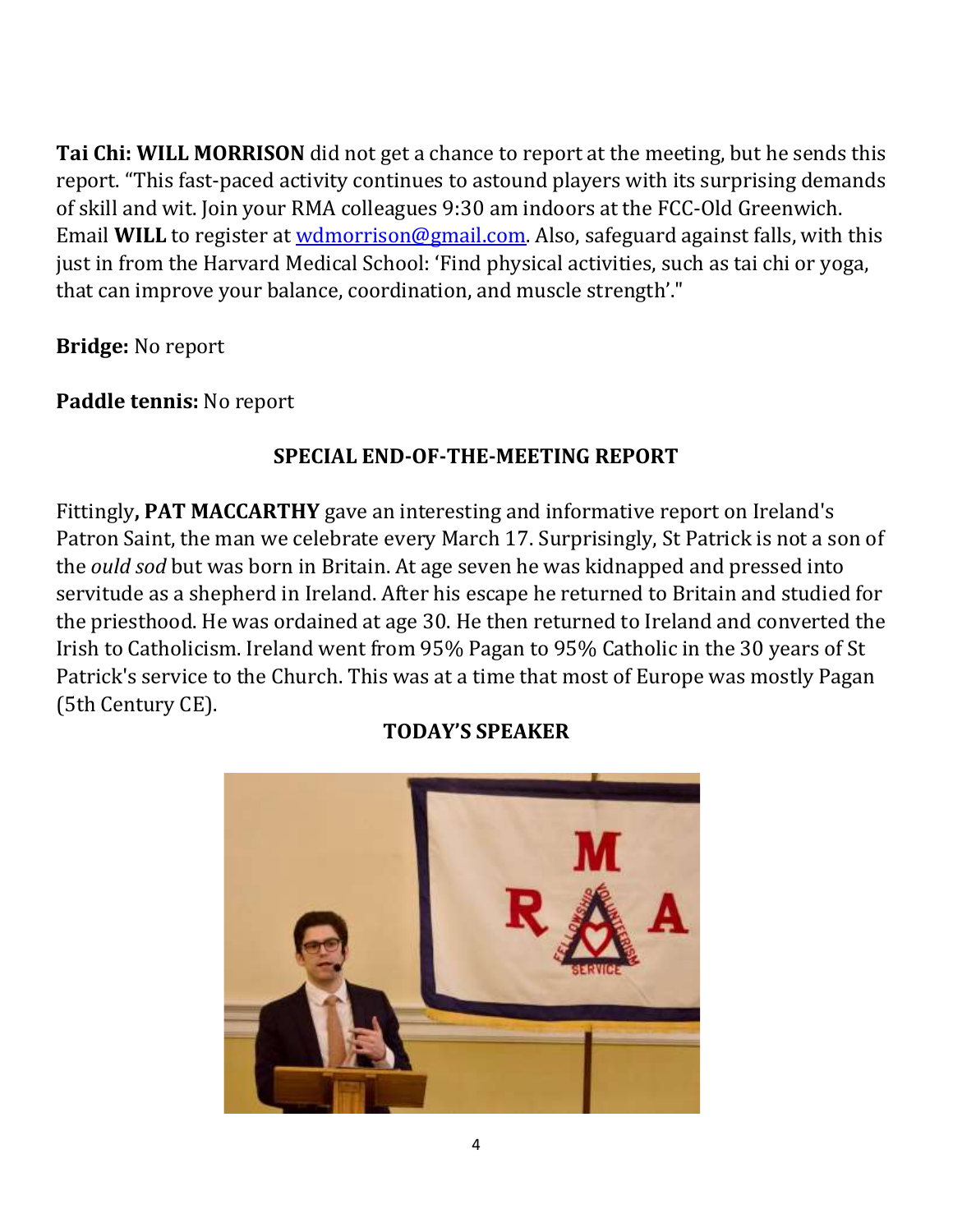**Tai Chi: WILL MORRISON** did not get a chance to report at the meeting, but he sends this report. "This fast-paced activity continues to astound players with its surprising demands of skill and wit. Join your RMA colleagues 9:30 am indoors at the FCC-Old Greenwich. Email **WILL** to register at [wdmorrison@gmail.com.](mailto:wdmorrison@gmail.com) Also, safeguard against falls, with this just in from the Harvard Medical School: 'Find physical activities, such as tai chi or yoga, that can improve your balance, coordination, and muscle strength'."

**Bridge:** No report

**Paddle tennis:** No report

## **SPECIAL END-OF-THE-MEETING REPORT**

Fittingly**, PAT MACCARTHY** gave an interesting and informative report on Ireland's Patron Saint, the man we celebrate every March 17. Surprisingly, St Patrick is not a son of the *ould sod* but was born in Britain. At age seven he was kidnapped and pressed into servitude as a shepherd in Ireland. After his escape he returned to Britain and studied for the priesthood. He was ordained at age 30. He then returned to Ireland and converted the Irish to Catholicism. Ireland went from 95% Pagan to 95% Catholic in the 30 years of St Patrick's service to the Church. This was at a time that most of Europe was mostly Pagan (5th Century CE).



#### **TODAY'S SPEAKER**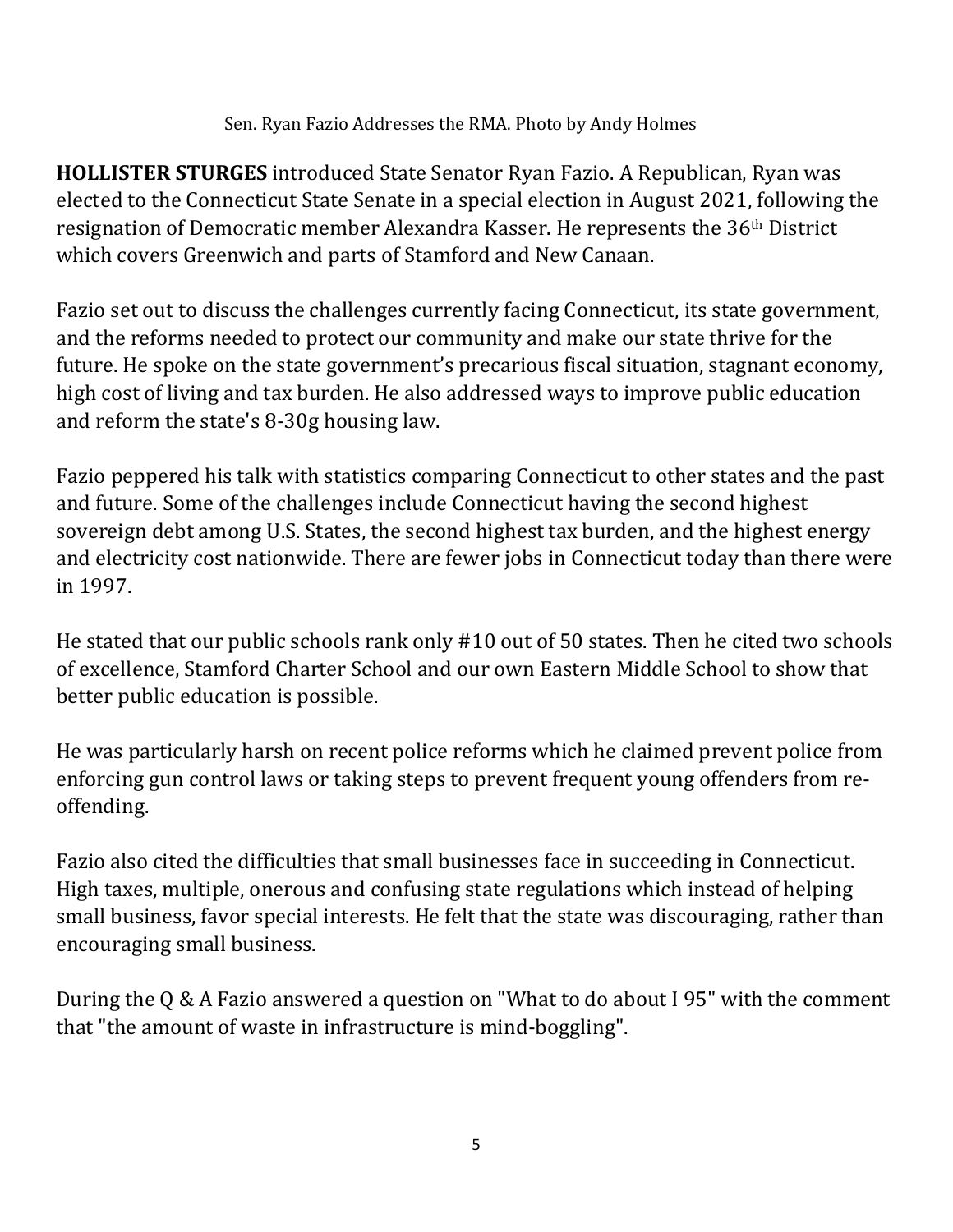Sen. Ryan Fazio Addresses the RMA. Photo by Andy Holmes

**HOLLISTER STURGES** introduced State Senator Ryan Fazio. A Republican, Ryan was elected to the Connecticut State Senate in a special election in August 2021, following the resignation of Democratic member Alexandra Kasser. He represents the 36th District which covers Greenwich and parts of Stamford and New Canaan.

Fazio set out to discuss the challenges currently facing Connecticut, its state government, and the reforms needed to protect our community and make our state thrive for the future. He spoke on the state government's precarious fiscal situation, stagnant economy, high cost of living and tax burden. He also addressed ways to improve public education and reform the state's 8-30g housing law.

Fazio peppered his talk with statistics comparing Connecticut to other states and the past and future. Some of the challenges include Connecticut having the second highest sovereign debt among U.S. States, the second highest tax burden, and the highest energy and electricity cost nationwide. There are fewer jobs in Connecticut today than there were in 1997.

He stated that our public schools rank only #10 out of 50 states. Then he cited two schools of excellence, Stamford Charter School and our own Eastern Middle School to show that better public education is possible.

He was particularly harsh on recent police reforms which he claimed prevent police from enforcing gun control laws or taking steps to prevent frequent young offenders from reoffending.

Fazio also cited the difficulties that small businesses face in succeeding in Connecticut. High taxes, multiple, onerous and confusing state regulations which instead of helping small business, favor special interests. He felt that the state was discouraging, rather than encouraging small business.

During the Q & A Fazio answered a question on "What to do about I 95" with the comment that "the amount of waste in infrastructure is mind-boggling".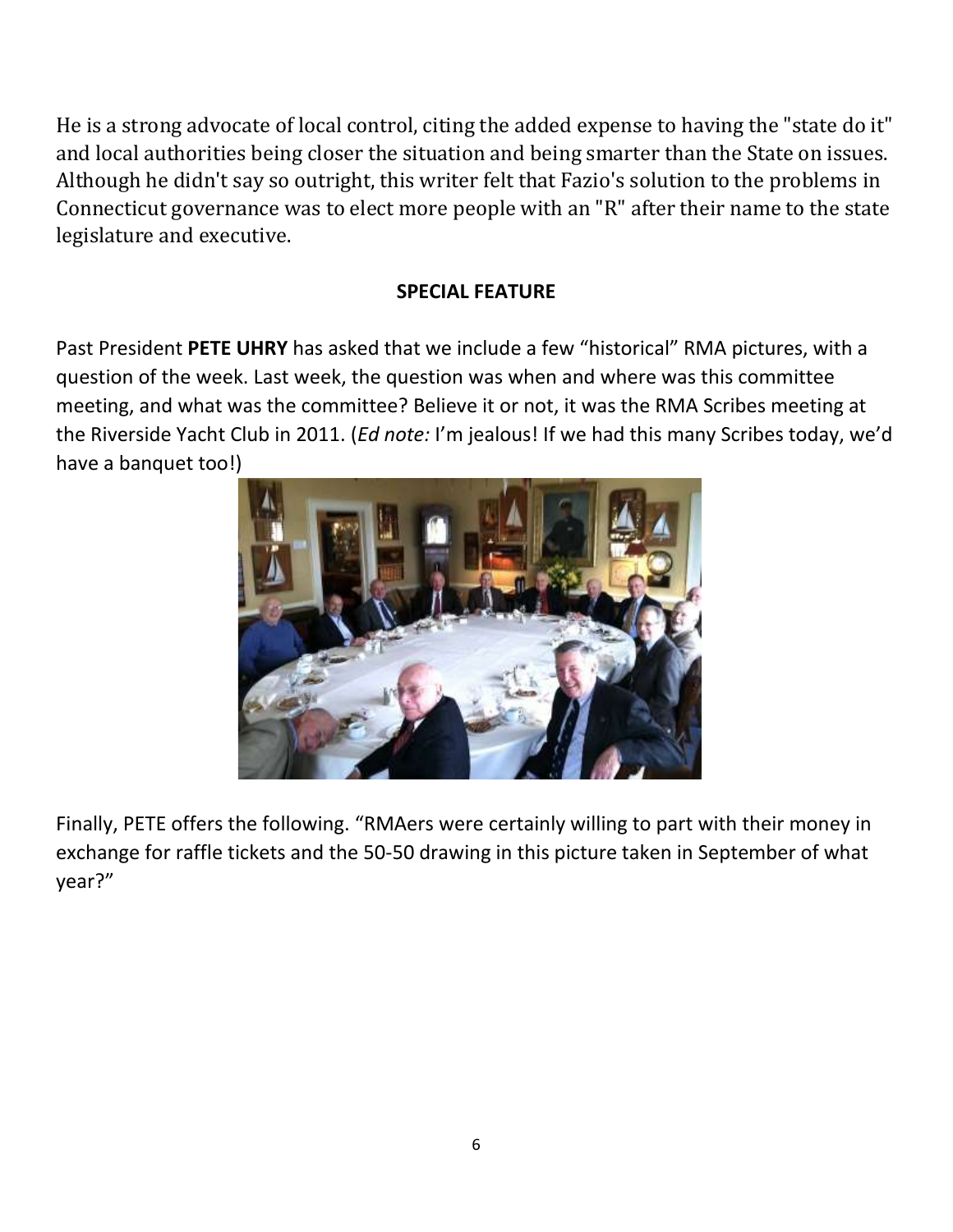He is a strong advocate of local control, citing the added expense to having the "state do it" and local authorities being closer the situation and being smarter than the State on issues. Although he didn't say so outright, this writer felt that Fazio's solution to the problems in Connecticut governance was to elect more people with an "R" after their name to the state legislature and executive.

#### **SPECIAL FEATURE**

Past President **PETE UHRY** has asked that we include a few "historical" RMA pictures, with a question of the week. Last week, the question was when and where was this committee meeting, and what was the committee? Believe it or not, it was the RMA Scribes meeting at the Riverside Yacht Club in 2011. (*Ed note:* I'm jealous! If we had this many Scribes today, we'd have a banquet too!)



Finally, PETE offers the following. "RMAers were certainly willing to part with their money in exchange for raffle tickets and the 50-50 drawing in this picture taken in September of what year?"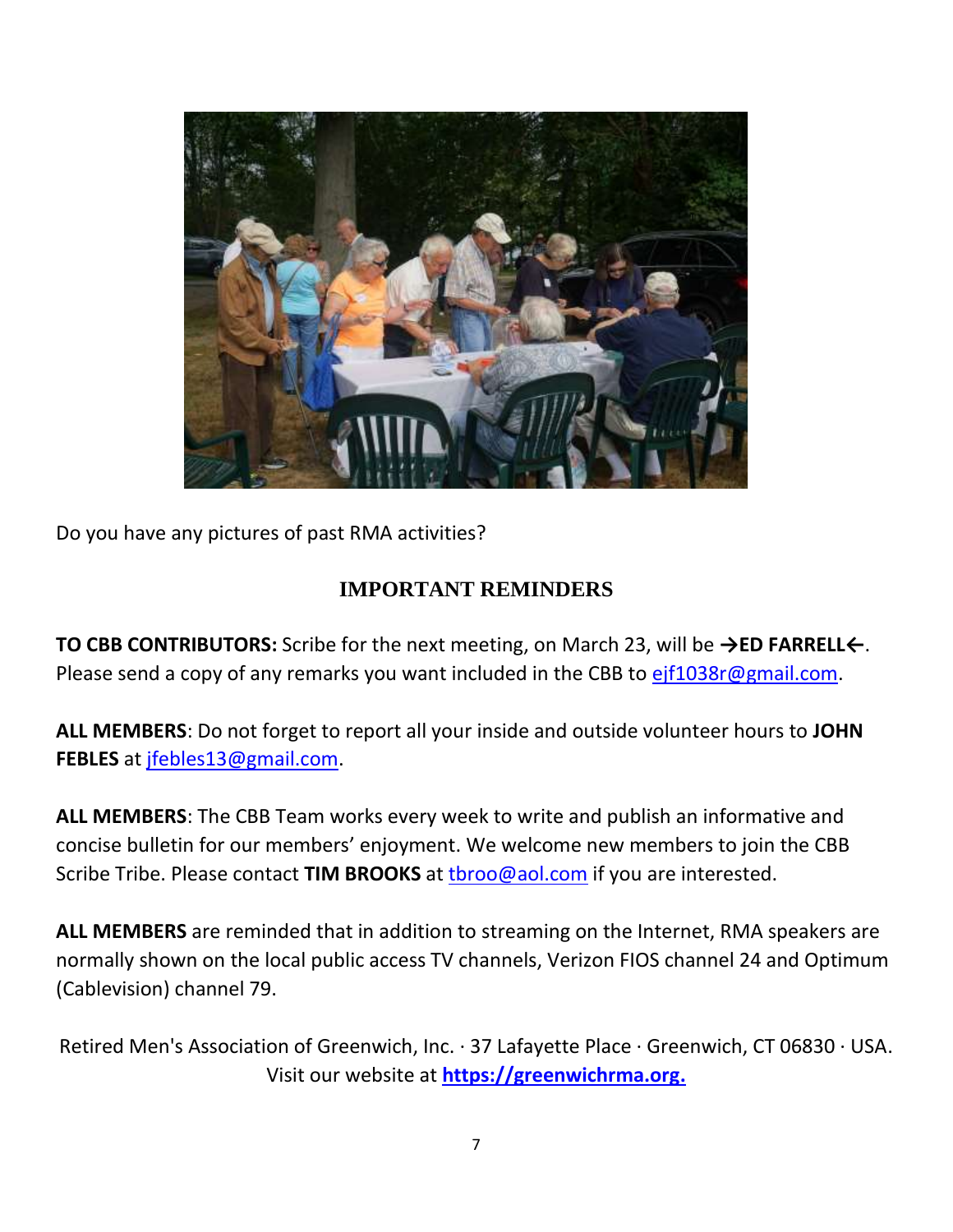

Do you have any pictures of past RMA activities?

#### **IMPORTANT REMINDERS**

**TO CBB CONTRIBUTORS:** Scribe for the next meeting, on March 23, will be **→ED FARRELL←**. Please send a copy of any remarks you want included in the CBB to [ejf1038r@gmail.com.](mailto:ejf1038r@gmail.com)

**ALL MEMBERS**: Do not forget to report all your inside and outside volunteer hours to **JOHN FEBLES** at [jfebles13@gmail.com.](mailto:jfebles13@gmail.com)

**ALL MEMBERS**: The CBB Team works every week to write and publish an informative and concise bulletin for our members' enjoyment. We welcome new members to join the CBB Scribe Tribe. Please contact **TIM BROOKS** at [tbroo@aol.com](mailto:tbroo@aol.com) if you are interested.

**ALL MEMBERS** are reminded that in addition to streaming on the Internet, RMA speakers are normally shown on the local public access TV channels, Verizon FIOS channel 24 and Optimum (Cablevision) channel 79.

Retired Men's Association of Greenwich, Inc. · 37 Lafayette Place · Greenwich, CT 06830 · USA. Visit our website at **[https://greenwichrma.org.](https://greenwichrma.org/)**